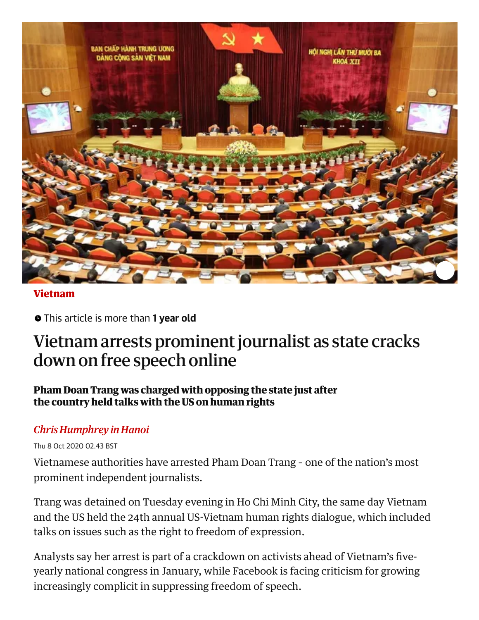

## **[Vietnam](https://www.theguardian.com/world/vietnam)**

This article is more than **1 year old**

# Vietnam arrests prominent journalist as state cracks down on free speech online

## **Pham Doan Trang was charged with opposing the state just after the country held talks with the US on human rights**

## *Chris Humphrey in Hanoi*

### Thu 8 Oct 2020 02.43 BST

Vietnamese authorities have arrested Pham Doan Trang – one of the nation's most prominent independent journalists.

Trang was detained on Tuesday evening in Ho Chi Minh City, the same day Vietnam and the US held the 24th annual US-Vietnam human rights dialogue, which included talks on issues such as the right to freedom of expression.

Analysts say her arrest is part of a crackdown on activists ahead of Vietnam's fiveyearly national congress in January, while Facebook is facing criticism for growing increasingly complicit in suppressing freedom of speech.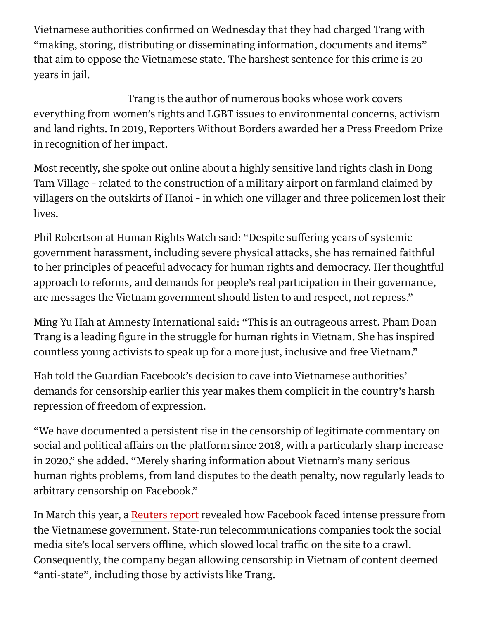Vietnamese authorities confirmed on Wednesday that they had charged Trang with "making, storing, distributing or disseminating information, documents and items" that aim to oppose the Vietnamese state. The harshest sentence for this crime is 20 years in jail.

Trang is the author of numerous books whose work covers everything from women's rights and LGBT issues to environmental concerns, activism and land rights. In 2019, Reporters Without Borders awarded her a Press Freedom Prize in recognition of her impact.

Most recently, she spoke out online about a highly sensitive land rights clash in Dong Tam Village – related to the construction of a military airport on farmland claimed by villagers on the outskirts of Hanoi – in which one villager and three policemen lost their lives.

Phil Robertson at Human Rights Watch said: "Despite suffering years of systemic government harassment, including severe physical attacks, she has remained faithful to her principles of peaceful advocacy for human rights and democracy. Her thoughtful approach to reforms, and demands for people's real participation in their governance, are messages the Vietnam government should listen to and respect, not repress."

Ming Yu Hah at Amnesty International said: "This is an outrageous arrest. Pham Doan Trang is a leading figure in the struggle for human rights in Vietnam. She has inspired countless young activists to speak up for a more just, inclusive and free Vietnam."

Hah told the Guardian Facebook's decision to cave into Vietnamese authorities' demands for censorship earlier this year makes them complicit in the country's harsh repression of freedom of expression.

"We have documented a persistent rise in the censorship of legitimate commentary on social and political affairs on the platform since 2018, with a particularly sharp increase in 2020," she added. "Merely sharing information about Vietnam's many serious human rights problems, from land disputes to the death penalty, now regularly leads to arbitrary censorship on Facebook."

In March this year, a [Reuters](https://www.reuters.com/article/us-vietnam-facebook-exclusive/exclusive-facebook-agreed-to-censor-posts-after-vietnam-slowed-traffic-sources-idUSKCN2232JX) report revealed how Facebook faced intense pressure from the Vietnamese government. State-run telecommunications companies took the social media site's local servers offline, which slowed local traffic on the site to a crawl. Consequently, the company began allowing censorship in Vietnam of content deemed "anti-state", including those by activists like Trang.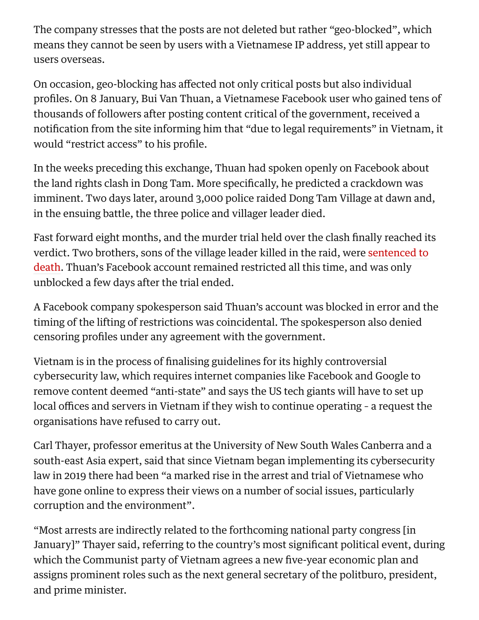The company stresses that the posts are not deleted but rather "geo-blocked", which means they cannot be seen by users with a Vietnamese IP address, yet still appear to users overseas.

On occasion, geo-blocking has affected not only critical posts but also individual profiles. On 8 January, Bui Van Thuan, a Vietnamese Facebook user who gained tens of thousands of followers after posting content critical of the government, received a notification from the site informing him that "due to legal requirements" in Vietnam, it would "restrict access" to his profile.

In the weeks preceding this exchange, Thuan had spoken openly on Facebook about the land rights clash in Dong Tam. More specifically, he predicted a crackdown was imminent. Two days later, around 3,000 police raided Dong Tam Village at dawn and, in the ensuing battle, the three police and villager leader died.

Fast forward eight months, and the murder trial held over the clash finally reached its verdict. Two brothers, sons of the village leader killed in the raid, were sentenced to death. Thuan's Facebook account remained restricted all [this time, and](https://www.reuters.com/article/us-vietnam-security-trial/vietnam-sentences-brothers-to-death-over-bloody-land-clash-idUSKBN2651WN) was only unblocked a few days after the trial ended.

A Facebook company spokesperson said Thuan's account was blocked in error and the timing of the lifting of restrictions was coincidental. The spokesperson also denied censoring profiles under any agreement with the government.

Vietnam is in the process of finalising guidelines for its highly controversial cybersecurity law, which requires internet companies like Facebook and Google to remove content deemed "anti-state" and says the US tech giants will have to set up local offices and servers in Vietnam if they wish to continue operating – a request the organisations have refused to carry out.

Carl Thayer, professor emeritus at the University of New South Wales Canberra and a south-east Asia expert, said that since Vietnam began implementing its cybersecurity law in 2019 there had been "a marked rise in the arrest and trial of Vietnamese who have gone online to express their views on a number of social issues, particularly corruption and the environment".

"Most arrests are indirectly related to the forthcoming national party congress [in January]" Thayer said, referring to the country's most significant political event, during which the Communist party of Vietnam agrees a new five-year economic plan and assigns prominent roles such as the next general secretary of the politburo, president, and prime minister.